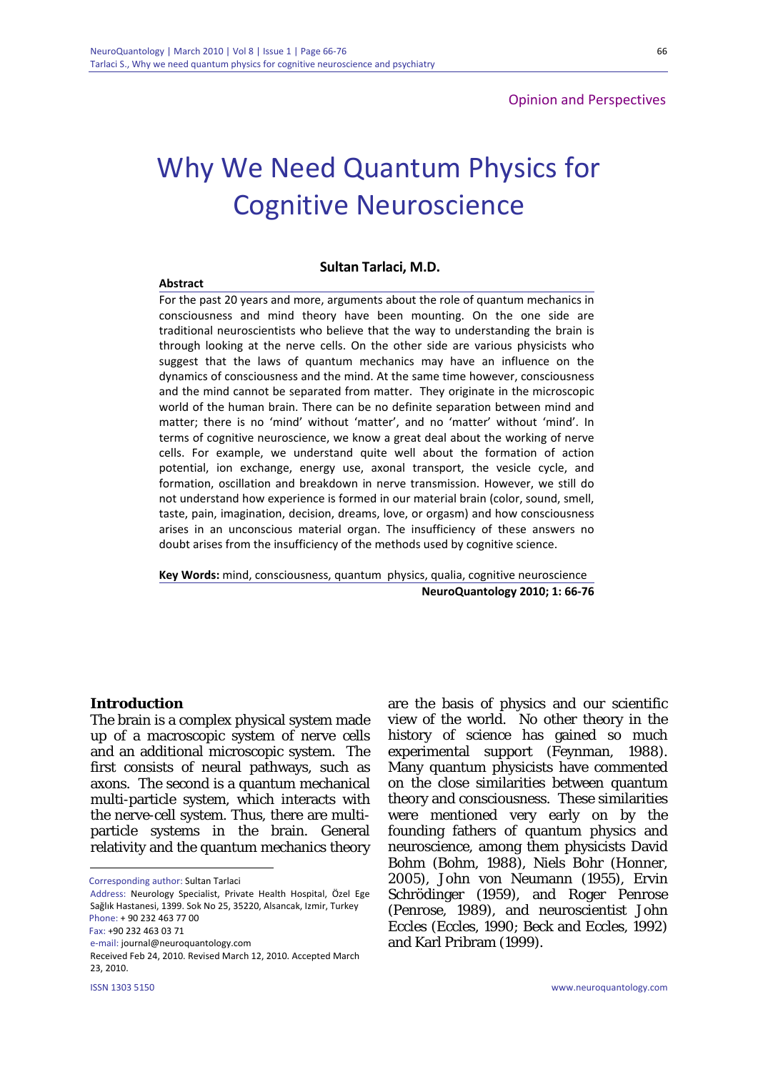# Why We Need Quantum Physics for Cognitive Neuroscience

#### **Sultan Tarlaci, M.D.**

#### **Abstract**

For the past 20 years and more, arguments about the role of quantum mechanics in consciousness and mind theory have been mounting. On the one side are traditional neuroscientists who believe that the way to understanding the brain is through looking at the nerve cells. On the other side are various physicists who suggest that the laws of quantum mechanics may have an influence on the dynamics of consciousness and the mind. At the same time however, consciousness and the mind cannot be separated from matter. They originate in the microscopic world of the human brain. There can be no definite separation between mind and matter; there is no 'mind' without 'matter', and no 'matter' without 'mind'. In terms of cognitive neuroscience, we know a great deal about the working of nerve cells. For example, we understand quite well about the formation of action potential, ion exchange, energy use, axonal transport, the vesicle cycle, and formation, oscillation and breakdown in nerve transmission. However, we still do not understand how experience is formed in our material brain (color, sound, smell, taste, pain, imagination, decision, dreams, love, or orgasm) and how consciousness arises in an unconscious material organ. The insufficiency of these answers no doubt arises from the insufficiency of the methods used by cognitive science.

**Key Words:** mind, consciousness, quantum physics, qualia, cognitive neuroscience **NeuroQuantology 2010; 1: 66‐76**

#### **Introduction**

The brain is a complex physical system made up of a macroscopic system of nerve cells and an additional microscopic system. The first consists of neural pathways, such as axons. The second is a quantum mechanical multi-particle system, which interacts with the nerve-cell system. Thus, there are multiparticle systems in the brain. General relativity and the quantum mechanics theory

Corresponding author: Sultan Tarlaci

Address: Neurology Specialist, Private Health Hospital, Özel Ege Sağlık Hastanesi, 1399. Sok No 25, 35220, Alsancak, Izmir, Turkey Phone: + 90 232 463 77 00 Fax: +90 232 463 03 71

e‐mail: journal@neuroquantology.com

were mentioned very early on by the founding fathers of quantum physics and neuroscience, among them physicists David Bohm (Bohm, 1988), Niels Bohr (Honner, 2005), John von Neumann (1955), Ervin Schrödinger (1959), and Roger Penrose (Penrose, 1989), and neuroscientist John Eccles (Eccles, 1990; Beck and Eccles, 1992) and Karl Pribram (1999).

are the basis of physics and our scientific view of the world. No other theory in the history of science has gained so much experimental support (Feynman, 1988). Many quantum physicists have commented on the close similarities between quantum theory and consciousness. These similarities

<u>.</u>

Received Feb 24, 2010. Revised March 12, 2010. Accepted March 23, 2010.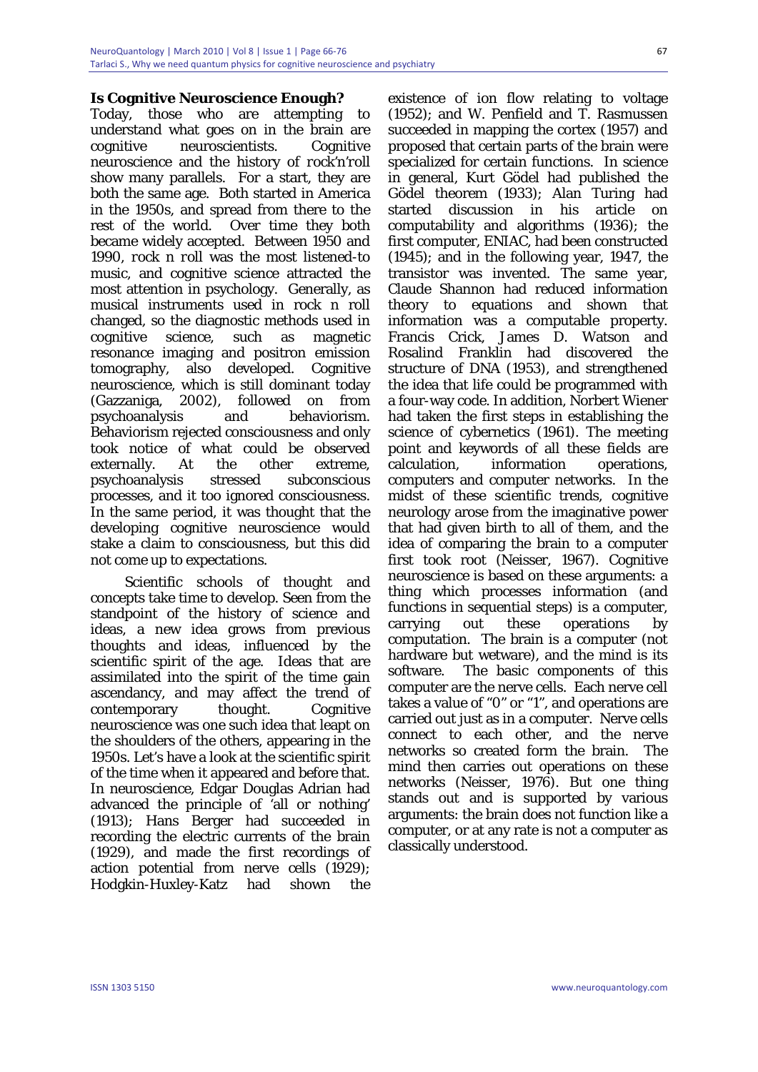# **Is Cognitive Neuroscience Enough?**

Today, those who are attempting to understand what goes on in the brain are cognitive neuroscientists. Cognitive neuroscience and the history of *rock'n'roll* show many parallels. For a start, they are both the same age. Both started in America in the 1950s, and spread from there to the rest of the world. Over time they both became widely accepted. Between 1950 and 1990, *rock n roll* was the most listened-to music, and cognitive science attracted the most attention in psychology. Generally, as musical instruments used in rock n roll changed, so the diagnostic methods used in cognitive science, such as magnetic resonance imaging and positron emission tomography, also developed. Cognitive neuroscience, which is still dominant today (Gazzaniga, 2002), followed on from psychoanalysis and behaviorism. Behaviorism rejected consciousness and only took notice of what could be observed externally. At the other extreme, psychoanalysis stressed subconscious processes, and it too ignored consciousness. In the same period, it was thought that the developing cognitive neuroscience would stake a claim to consciousness, but this did not come up to expectations.

Scientific schools of thought and concepts take time to develop. Seen from the standpoint of the history of science and ideas, a new idea grows from previous thoughts and ideas, influenced by the scientific spirit of the age. Ideas that are assimilated into the spirit of the time gain ascendancy, and may affect the trend of contemporary thought. Cognitive neuroscience was one such idea that leapt on the shoulders of the others, appearing in the 1950s. Let's have a look at the scientific spirit of the time when it appeared and before that. In neuroscience, Edgar Douglas Adrian had advanced the principle of 'all or nothing' (1913); Hans Berger had succeeded in recording the electric currents of the brain (1929), and made the first recordings of action potential from nerve cells (1929); Hodgkin-Huxley-Katz had shown the

existence of ion flow relating to voltage (1952); and W. Penfield and T. Rasmussen succeeded in mapping the cortex (1957) and proposed that certain parts of the brain were specialized for certain functions. In science in general, Kurt Gödel had published the Gödel theorem (1933); Alan Turing had started discussion in his article on computability and algorithms (1936); the first computer, ENIAC, had been constructed (1945); and in the following year, 1947, the transistor was invented. The same year, Claude Shannon had reduced information theory to equations and shown that information was a computable property. Francis Crick, James D. Watson and Rosalind Franklin had discovered the structure of DNA (1953), and strengthened the idea that life could be programmed with a four-way code. In addition, Norbert Wiener had taken the first steps in establishing the science of cybernetics (1961). The meeting point and keywords of all these fields are calculation, information operations, computers and computer networks. In the midst of these scientific trends, cognitive neurology arose from the imaginative power that had given birth to all of them, and the idea of comparing the brain to a computer first took root (Neisser, 1967). Cognitive neuroscience is based on these arguments: a thing which processes information (and functions in sequential steps) is a computer, carrying out these operations by computation. The brain is a computer (not hardware but wetware), and the mind is its software. The basic components of this computer are the nerve cells. Each nerve cell takes a value of "0" or "1", and operations are carried out just as in a computer. Nerve cells connect to each other, and the nerve networks so created form the brain. The mind then carries out operations on these networks (Neisser, 1976). But one thing stands out and is supported by various arguments: the brain does not function like a computer, or at any rate is not a computer as classically understood.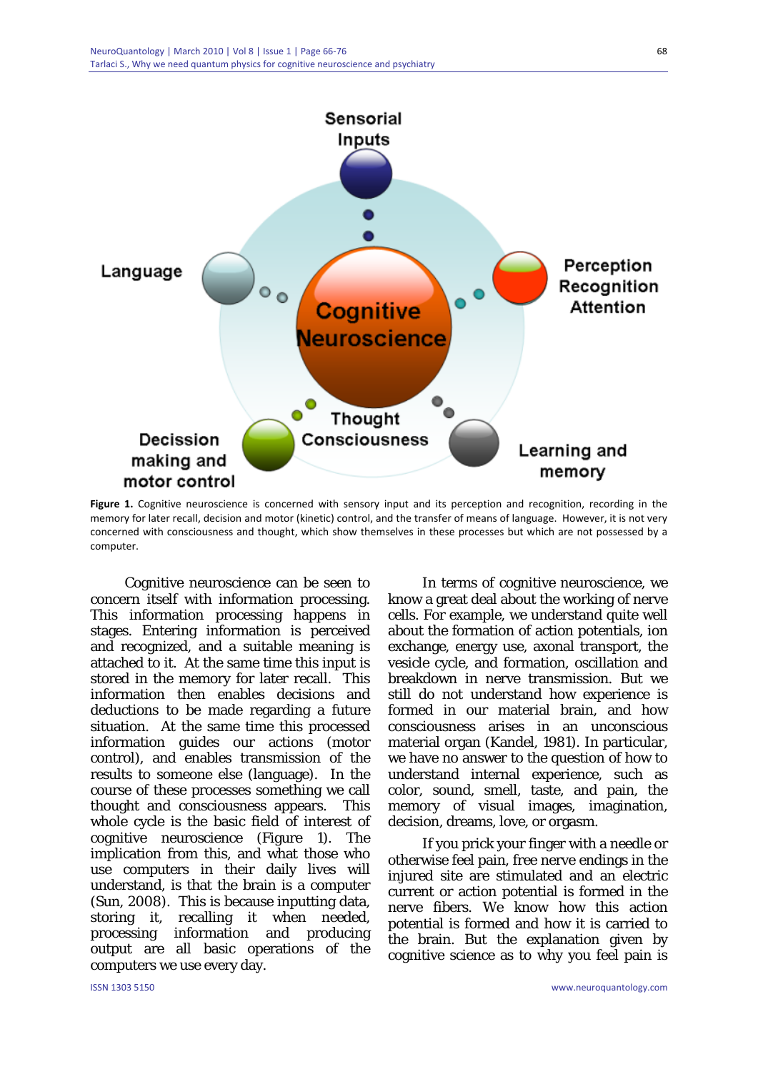

**Figure 1.** Cognitive neuroscience is concerned with sensory input and its perception and recognition, recording in the memory for later recall, decision and motor (kinetic) control, and the transfer of means of language. However, it is not very concerned with consciousness and thought, which show themselves in these processes but which are not possessed by a computer.

Cognitive neuroscience can be seen to concern itself with information processing. This information processing happens in stages. Entering information is perceived and recognized, and a suitable meaning is attached to it. At the same time this input is stored in the memory for later recall. This information then enables decisions and deductions to be made regarding a future situation. At the same time this processed information guides our actions (motor control), and enables transmission of the results to someone else (language). In the course of these processes something we call thought and consciousness appears. This whole cycle is the basic field of interest of cognitive neuroscience (Figure 1). The implication from this, and what those who use computers in their daily lives will understand, is that the brain is a computer (Sun, 2008). This is because inputting data, storing it, recalling it when needed, processing information and producing output are all basic operations of the computers we use every day.

In terms of cognitive neuroscience, we know a great deal about the working of nerve cells. For example, we understand quite well about the formation of action potentials, ion exchange, energy use, axonal transport, the vesicle cycle, and formation, oscillation and breakdown in nerve transmission. But we still do not understand how experience is formed in our material brain, and how consciousness arises in an unconscious material organ (Kandel, 1981). In particular, we have no answer to the question of how to understand internal experience, such as color, sound, smell, taste, and pain, the memory of visual images, imagination, decision, dreams, love, or orgasm.

If you prick your finger with a needle or otherwise feel pain, free nerve endings in the injured site are stimulated and an electric current or action potential is formed in the nerve fibers. We know how this action potential is formed and how it is carried to the brain. But the explanation given by cognitive science as to why you feel pain is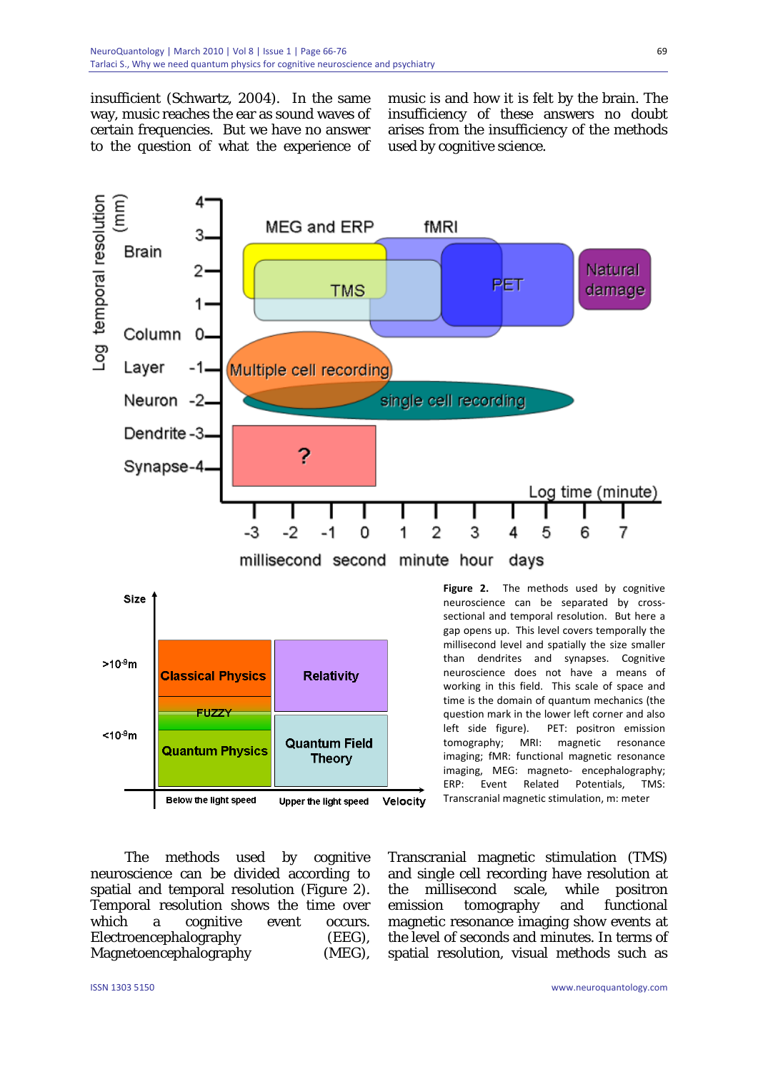insufficient (Schwartz, 2004). In the same way, music reaches the ear as sound waves of certain frequencies. But we have no answer to the question of what the experience of music is and how it is felt by the brain. The insufficiency of these answers no doubt arises from the insufficiency of the methods used by cognitive science.



**Quantum Field Quantum Physics Theory** Below the light speed Upper the light speed Velocity

neuroscience can be separated by cross‐ sectional and temporal resolution. But here a gap opens up. This level covers temporally the millisecond level and spatially the size smaller than dendrites and synapses. Cognitive neuroscience does not have a means of working in this field. This scale of space and time is the domain of quantum mechanics (the question mark in the lower left corner and also left side figure). PET: positron emission tomography; MRI: magnetic resonance imaging; fMR: functional magnetic resonance imaging, MEG: magneto- encephalography; ERP: Event Related Potentials, TMS: Transcranial magnetic stimulation, m: meter

The methods used by cognitive neuroscience can be divided according to spatial and temporal resolution (Figure 2). Temporal resolution shows the time over which a cognitive event occurs. Electroencephalography (EEG), Magnetoencephalography (MEG),

Transcranial magnetic stimulation (TMS) and single cell recording have resolution at the millisecond scale, while positron emission tomography and functional magnetic resonance imaging show events at the level of seconds and minutes. In terms of spatial resolution, visual methods such as

 $< 10<sup>9</sup>$ m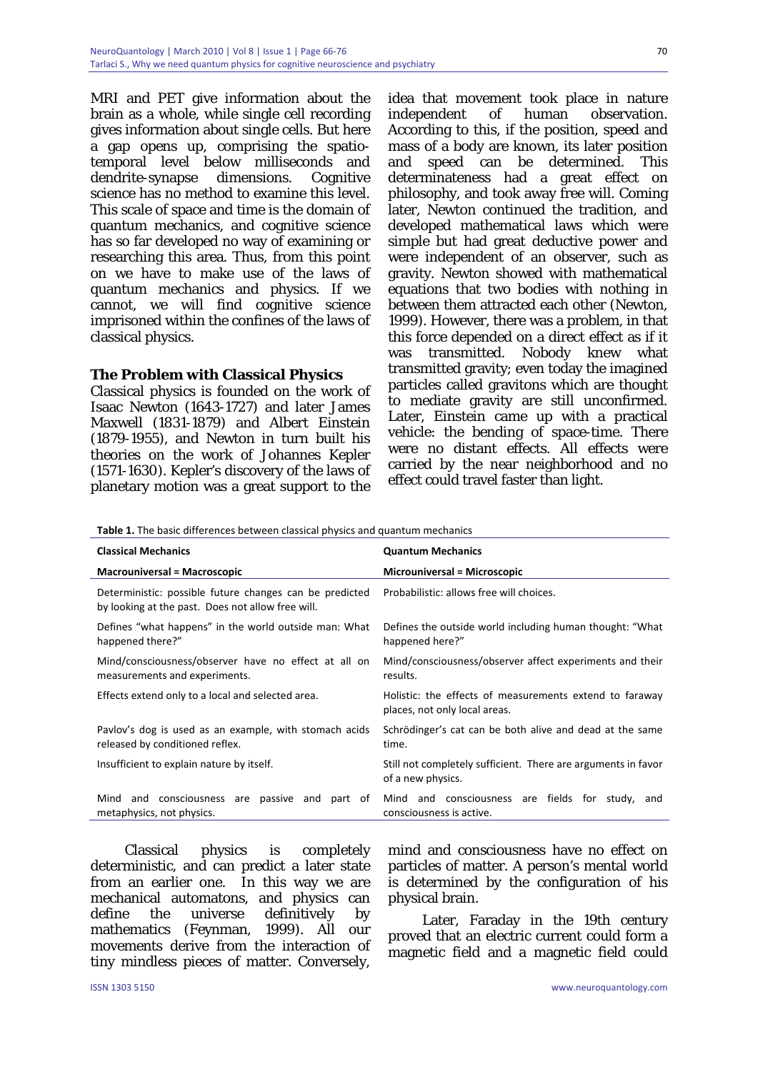MRI and PET give information about the brain as a whole, while single cell recording gives information about single cells. But here a gap opens up, comprising the spatiotemporal level below milliseconds and dendrite-synapse dimensions. Cognitive science has no method to examine this level. This scale of space and time is the domain of quantum mechanics, and cognitive science has so far developed no way of examining or researching this area. Thus, from this point on we have to make use of the laws of quantum mechanics and physics. If we cannot, we will find cognitive science imprisoned within the confines of the laws of classical physics.

#### **The Problem with Classical Physics**

Classical physics is founded on the work of Isaac Newton (1643-1727) and later James Maxwell (1831-1879) and Albert Einstein (1879-1955), and Newton in turn built his theories on the work of Johannes Kepler (1571-1630). Kepler's discovery of the laws of planetary motion was a great support to the

idea that movement took place in nature independent of human observation. According to this, if the position, speed and mass of a body are known, its later position and speed can be determined. This determinateness had a great effect on philosophy, and took away free will. Coming later, Newton continued the tradition, and developed mathematical laws which were simple but had great deductive power and were independent of an observer, such as gravity. Newton showed with mathematical equations that two bodies with nothing in between them attracted each other (Newton, 1999). However, there was a problem, in that this force depended on a direct effect as if it was transmitted. Nobody knew what transmitted gravity; even today the imagined particles called gravitons which are thought to mediate gravity are still unconfirmed. Later, Einstein came up with a practical vehicle: the bending of space-time. There were no distant effects. All effects were carried by the near neighborhood and no effect could travel faster than light.

**Table 1.** The basic differences between classical physics and quantum mechanics

| <b>Classical Mechanics</b>                                                                                   | <b>Quantum Mechanics</b>                                                                 |
|--------------------------------------------------------------------------------------------------------------|------------------------------------------------------------------------------------------|
| <b>Macrouniversal = Macroscopic</b>                                                                          | <b>Microuniversal = Microscopic</b>                                                      |
| Deterministic: possible future changes can be predicted<br>by looking at the past. Does not allow free will. | Probabilistic: allows free will choices.                                                 |
| Defines "what happens" in the world outside man: What<br>happened there?"                                    | Defines the outside world including human thought: "What<br>happened here?"              |
| Mind/consciousness/observer have no effect at all on<br>measurements and experiments.                        | Mind/consciousness/observer affect experiments and their<br>results.                     |
| Effects extend only to a local and selected area.                                                            | Holistic: the effects of measurements extend to faraway<br>places, not only local areas. |
| Pavlov's dog is used as an example, with stomach acids<br>released by conditioned reflex.                    | Schrödinger's cat can be both alive and dead at the same<br>time.                        |
| Insufficient to explain nature by itself.                                                                    | Still not completely sufficient. There are arguments in favor<br>of a new physics.       |
| and consciousness are passive and part of<br>Mind<br>metaphysics, not physics.                               | Mind and consciousness are fields for study, and<br>consciousness is active.             |

Classical physics is completely deterministic, and can predict a later state from an earlier one. In this way we are mechanical automatons, and physics can define the universe definitively by mathematics (Feynman, 1999). All our movements derive from the interaction of tiny mindless pieces of matter. Conversely,

mind and consciousness have no effect on particles of matter. A person's mental world is determined by the configuration of his physical brain.

Later, Faraday in the 19th century proved that an electric current could form a magnetic field and a magnetic field could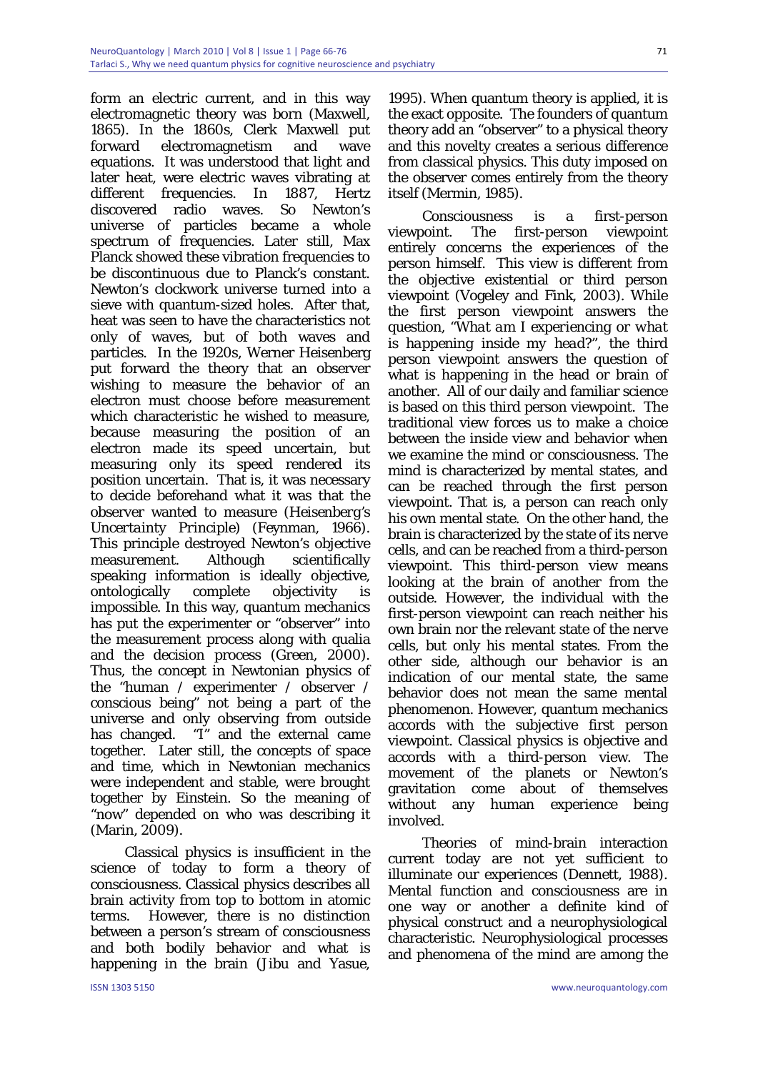form an electric current, and in this way electromagnetic theory was born (Maxwell, 1865). In the 1860s, Clerk Maxwell put forward electromagnetism and wave equations. It was understood that light and later heat, were electric waves vibrating at different frequencies. In 1887, Hertz discovered radio waves. So Newton's universe of particles became a whole spectrum of frequencies. Later still, Max Planck showed these vibration frequencies to be discontinuous due to Planck's constant. Newton's clockwork universe turned into a sieve with quantum-sized holes. After that, heat was seen to have the characteristics not only of waves, but of both waves and particles. In the 1920s, Werner Heisenberg put forward the theory that an observer wishing to measure the behavior of an electron must choose before measurement which characteristic he wished to measure, because measuring the position of an electron made its speed uncertain, but measuring only its speed rendered its position uncertain. That is, it was necessary to decide beforehand what it was that the observer wanted to measure (*Heisenberg's Uncertainty Principle*) (Feynman, 1966). This principle destroyed Newton's objective measurement. Although scientifically speaking information is ideally objective, ontologically complete objectivity is impossible. In this way, quantum mechanics has put the experimenter or "observer" into the measurement process along with qualia and the decision process (Green, 2000). Thus, the concept in Newtonian physics of the "human / experimenter / observer / conscious being" not being a part of the universe and only observing from outside has changed. "I" and the external came together. Later still, the concepts of space and time, which in Newtonian mechanics were independent and stable, were brought together by Einstein. So the meaning of "now" depended on who was describing it (Marin, 2009).

Classical physics is insufficient in the science of today to form a theory of consciousness. Classical physics describes all brain activity from top to bottom in atomic terms. However, there is no distinction between a person's stream of consciousness and both bodily behavior and what is happening in the brain (Jibu and Yasue,

1995). When quantum theory is applied, it is the exact opposite. The founders of quantum theory add an "observer" to a physical theory and this novelty creates a serious difference from classical physics. This duty imposed on the observer comes entirely from the theory itself (Mermin, 1985).

Consciousness is a first-person viewpoint. The first-person viewpoint entirely concerns the experiences of the person himself. This view is different from the objective existential or third person viewpoint (Vogeley and Fink, 2003). While the first person viewpoint answers the question, "*What am I experiencing or what is happening inside my head?*", the third person viewpoint answers the question of what is happening in the head or brain of another. All of our daily and familiar science is based on this third person viewpoint. The traditional view forces us to make a choice between the inside view and behavior when we examine the mind or consciousness. The mind is characterized by mental states, and can be reached through the first person viewpoint. That is, a person can reach only his own mental state. On the other hand, the brain is characterized by the state of its nerve cells, and can be reached from a third-person viewpoint. This third-person view means looking at the brain of another from the outside. However, the individual with the first-person viewpoint can reach neither his own brain nor the relevant state of the nerve cells, but only his mental states. From the other side, although our behavior is an indication of our mental state, the same behavior does not mean the same mental phenomenon. However, quantum mechanics accords with the subjective first person viewpoint. Classical physics is objective and accords with a third-person view. The movement of the planets or Newton's gravitation come about of themselves without any human experience being involved.

Theories of mind-brain interaction current today are not yet sufficient to illuminate our experiences (Dennett, 1988). Mental function and consciousness are in one way or another a definite kind of physical construct and a neurophysiological characteristic. Neurophysiological processes and phenomena of the mind are among the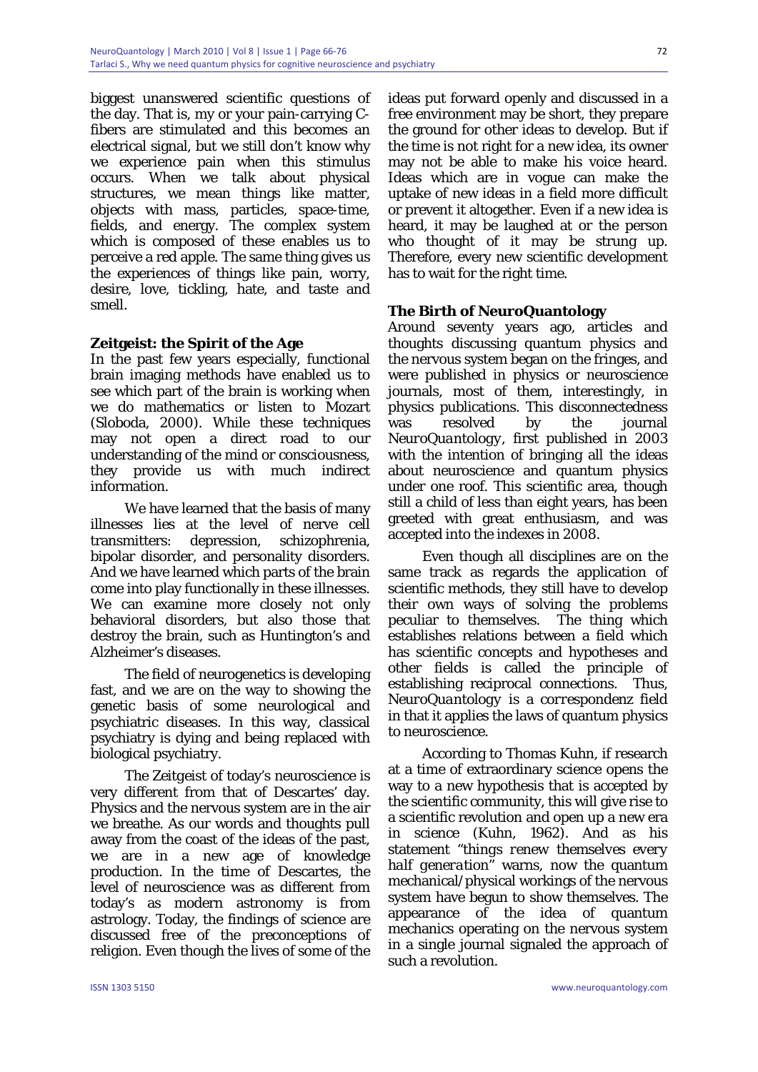biggest unanswered scientific questions of the day. That is, my or your pain-carrying Cfibers are stimulated and this becomes an electrical signal, but we still don't know why we experience pain when this stimulus occurs. When we talk about physical structures, we mean things like matter, objects with mass, particles, space-time, fields, and energy. The complex system which is composed of these enables us to perceive a red apple. The same thing gives us the experiences of things like pain, worry, desire, love, tickling, hate, and taste and smell.

### **Zeitgeist: the Spirit of the Age**

In the past few years especially, functional brain imaging methods have enabled us to see which part of the brain is working when we do mathematics or listen to Mozart (Sloboda, 2000). While these techniques may not open a direct road to our understanding of the mind or consciousness, they provide us with much indirect information.

We have learned that the basis of many illnesses lies at the level of nerve cell transmitters: depression, schizophrenia, bipolar disorder, and personality disorders. And we have learned which parts of the brain come into play functionally in these illnesses. We can examine more closely not only behavioral disorders, but also those that destroy the brain, such as Huntington's and Alzheimer's diseases.

The field of neurogenetics is developing fast, and we are on the way to showing the genetic basis of some neurological and psychiatric diseases. In this way, classical psychiatry is dying and being replaced with biological psychiatry.

The *Zeitgeist* of today's neuroscience is very different from that of Descartes' day. Physics and the nervous system are in the air we breathe. As our words and thoughts pull away from the coast of the ideas of the past, we are in a new age of knowledge production. In the time of Descartes, the level of neuroscience was as different from today's as modern astronomy is from astrology. Today, the findings of science are discussed free of the preconceptions of religion. Even though the lives of some of the

ideas put forward openly and discussed in a free environment may be short, they prepare the ground for other ideas to develop. But if the time is not right for a new idea, its owner may not be able to make his voice heard. Ideas which are in vogue can make the uptake of new ideas in a field more difficult or prevent it altogether. Even if a new idea is heard, it may be laughed at or the person who thought of it may be strung up. Therefore, every new scientific development has to wait for the right time.

### **The Birth of NeuroQuantology**

Around seventy years ago, articles and thoughts discussing quantum physics and the nervous system began on the fringes, and were published in physics or neuroscience journals, most of them, interestingly, in physics publications. This disconnectedness was resolved by the journal *NeuroQuantology*, first published in 2003 with the intention of bringing all the ideas about neuroscience and quantum physics under one roof. This scientific area, though still a child of less than eight years, has been greeted with great enthusiasm, and was accepted into the indexes in 2008.

Even though all disciplines are on the same track as regards the application of scientific methods, they still have to develop their own ways of solving the problems peculiar to themselves. The thing which establishes relations between a field which has scientific concepts and hypotheses and other fields is called the principle of establishing reciprocal connections. Thus, *NeuroQuantology* is a *correspondenz* field in that it applies the laws of quantum physics to neuroscience.

According to Thomas Kuhn, if research at a time of extraordinary science opens the way to a new hypothesis that is accepted by the scientific community, this will give rise to a scientific revolution and open up a new era in science (Kuhn, 1962). And as his statement "*things renew themselves every half generation*" warns, now the quantum mechanical/physical workings of the nervous system have begun to show themselves. The appearance of the idea of quantum mechanics operating on the nervous system in a single journal signaled the approach of such a revolution.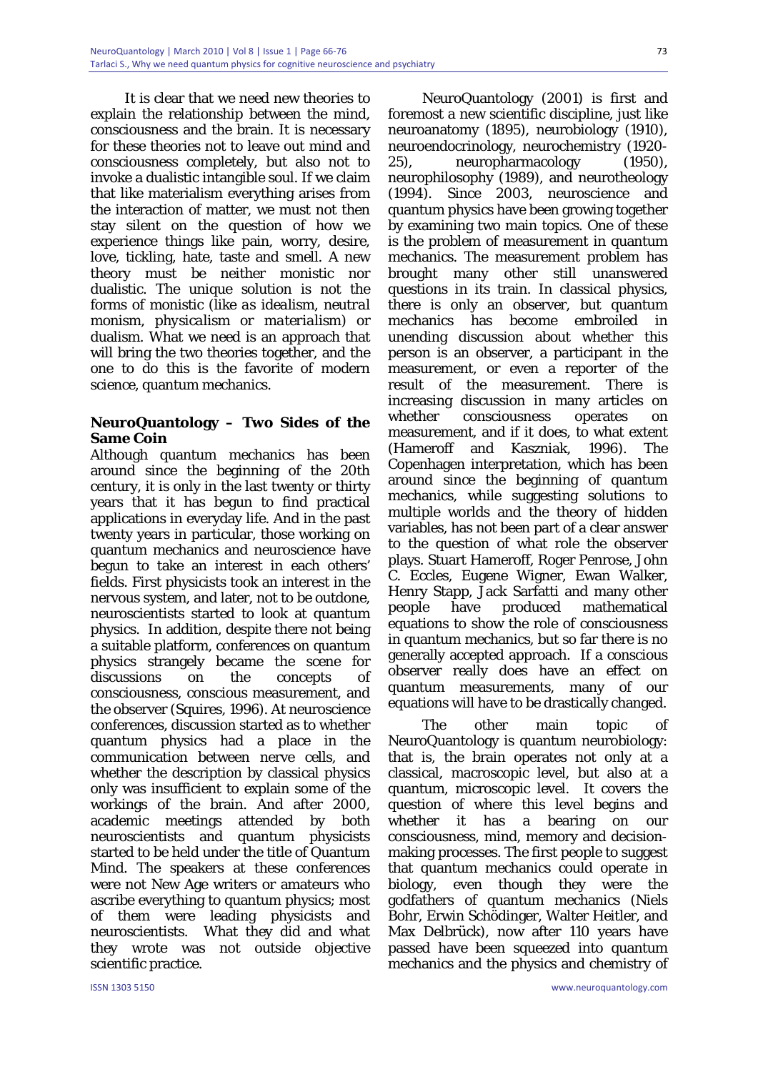It is clear that we need new theories to explain the relationship between the mind, consciousness and the brain. It is necessary for these theories not to leave out mind and consciousness completely, but also not to invoke a dualistic intangible soul. If we claim that like materialism everything arises from the interaction of matter, we must not then stay silent on the question of how we experience things like pain, worry, desire, love, tickling, hate, taste and smell. A new theory must be neither monistic nor dualistic. The unique solution is not the forms of monistic (*like as idealism, neutral monism, physicalism or materialism*) or dualism. What we need is an approach that will bring the two theories together, and the one to do this is the favorite of modern science, quantum mechanics.

# **NeuroQuantology – Two Sides of the Same Coin**

Although quantum mechanics has been around since the beginning of the 20th century, it is only in the last twenty or thirty years that it has begun to find practical applications in everyday life. And in the past twenty years in particular, those working on quantum mechanics and neuroscience have begun to take an interest in each others' fields. First physicists took an interest in the nervous system, and later, not to be outdone, neuroscientists started to look at quantum physics. In addition, despite there not being a suitable platform, conferences on quantum physics strangely became the scene for discussions on the concepts of consciousness, conscious measurement, and the observer (Squires, 1996). At neuroscience conferences, discussion started as to whether quantum physics had a place in the communication between nerve cells, and whether the description by classical physics only was insufficient to explain some of the workings of the brain. And after 2000, academic meetings attended by both neuroscientists and quantum physicists started to be held under the title of Quantum Mind. The speakers at these conferences were not New Age writers or amateurs who ascribe everything to quantum physics; most of them were leading physicists and neuroscientists. What they did and what they wrote was not outside objective scientific practice.

NeuroQuantology (2001) is first and foremost a new scientific discipline, just like neuroanatomy (1895), neurobiology (1910), neuroendocrinology, neurochemistry (1920- 25), neuropharmacology (1950), neurophilosophy (1989), and neurotheology (1994). Since 2003, neuroscience and quantum physics have been growing together by examining two main topics. One of these is the problem of measurement in quantum mechanics. The measurement problem has brought many other still unanswered questions in its train. In classical physics, there is only an observer, but quantum mechanics has become embroiled in unending discussion about whether this person is an observer, a participant in the measurement, or even a reporter of the result of the measurement. There is increasing discussion in many articles on whether consciousness operates on measurement, and if it does, to what extent (Hameroff and Kaszniak, 1996). The Copenhagen interpretation, which has been around since the beginning of quantum mechanics, while suggesting solutions to multiple worlds and the theory of hidden variables, has not been part of a clear answer to the question of what role the observer plays. Stuart Hameroff, Roger Penrose, John C. Eccles, Eugene Wigner, Ewan Walker, Henry Stapp, Jack Sarfatti and many other people have produced mathematical equations to show the role of consciousness in quantum mechanics, but so far there is no generally accepted approach. If a conscious observer really does have an effect on quantum measurements, many of our equations will have to be drastically changed.

The other main topic of NeuroQuantology is quantum neurobiology: that is, the brain operates not only at a classical, macroscopic level, but also at a quantum, microscopic level. It covers the question of where this level begins and whether it has a bearing on our consciousness, mind, memory and decisionmaking processes. The first people to suggest that quantum mechanics could operate in biology, even though they were the godfathers of quantum mechanics (Niels Bohr, Erwin Schödinger, Walter Heitler, and Max Delbrück), now after 110 years have passed have been squeezed into quantum mechanics and the physics and chemistry of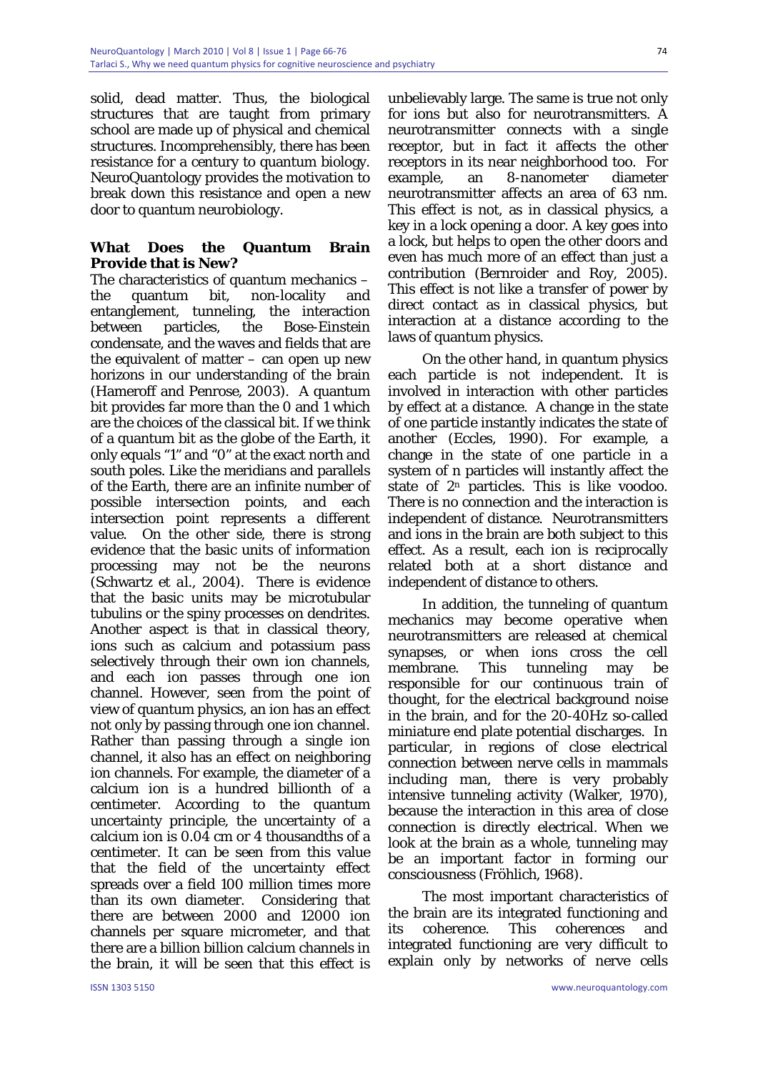solid, dead matter. Thus, the biological structures that are taught from primary school are made up of physical and chemical structures. Incomprehensibly, there has been resistance for a century to quantum biology. NeuroQuantology provides the motivation to break down this resistance and open a new door to quantum neurobiology.

# **What Does the Quantum Brain Provide that is New?**

The characteristics of quantum mechanics – the quantum bit, non-locality and entanglement, tunneling, the interaction between particles, the Bose-Einstein condensate, and the waves and fields that are the equivalent of matter  $-$  can open up new horizons in our understanding of the brain (Hameroff and Penrose, 2003). A quantum bit provides far more than the 0 and 1 which are the choices of the classical bit. If we think of a quantum bit as the globe of the Earth, it only equals "1" and "0" at the exact north and south poles. Like the meridians and parallels of the Earth, there are an infinite number of possible intersection points, and each intersection point represents a different value. On the other side, there is strong evidence that the basic units of information processing may not be the neurons (Schwartz *et al*., 2004). There is evidence that the basic units may be microtubular tubulins or the spiny processes on dendrites. Another aspect is that in classical theory, ions such as calcium and potassium pass selectively through their own ion channels, and each ion passes through one ion channel. However, seen from the point of view of quantum physics, an ion has an effect not only by passing through one ion channel. Rather than passing through a single ion channel, it also has an effect on neighboring ion channels. For example, the diameter of a calcium ion is a hundred billionth of a centimeter. According to the quantum uncertainty principle, the uncertainty of a calcium ion is 0.04 cm or 4 thousandths of a centimeter. It can be seen from this value that the field of the uncertainty effect spreads over a field 100 million times more than its own diameter. Considering that there are between 2000 and 12000 ion channels per square micrometer, and that there are a billion billion calcium channels in the brain, it will be seen that this effect is

unbelievably large. The same is true not only for ions but also for neurotransmitters. A neurotransmitter connects with a single receptor, but in fact it affects the other receptors in its near neighborhood too. For example, an 8-nanometer diameter neurotransmitter affects an area of 63 nm. This effect is not, as in classical physics, a key in a lock opening a door. A key goes into a lock, but helps to open the other doors and even has much more of an effect than just a contribution (Bernroider and Roy, 2005). This effect is not like a transfer of power by direct contact as in classical physics, but interaction at a distance according to the laws of quantum physics.

On the other hand, in quantum physics each particle is not independent. It is involved in interaction with other particles by effect at a distance. A change in the state of one particle instantly indicates the state of another (Eccles, 1990). For example, a change in the state of one particle in a system of n particles will instantly affect the state of 2n particles. This is like voodoo. There is no connection and the interaction is independent of distance. Neurotransmitters and ions in the brain are both subject to this effect. As a result, each ion is reciprocally related both at a short distance and independent of distance to others.

In addition, the tunneling of quantum mechanics may become operative when neurotransmitters are released at chemical synapses, or when ions cross the cell membrane. This tunneling may be responsible for our continuous train of thought, for the electrical background noise in the brain, and for the 20-40Hz so-called miniature end plate potential discharges. In particular, in regions of close electrical connection between nerve cells in mammals including man, there is very probably intensive tunneling activity (Walker, 1970), because the interaction in this area of close connection is directly electrical. When we look at the brain as a whole, tunneling may be an important factor in forming our consciousness (Fröhlich, 1968).

The most important characteristics of the brain are its integrated functioning and its coherence. This coherences and integrated functioning are very difficult to explain only by networks of nerve cells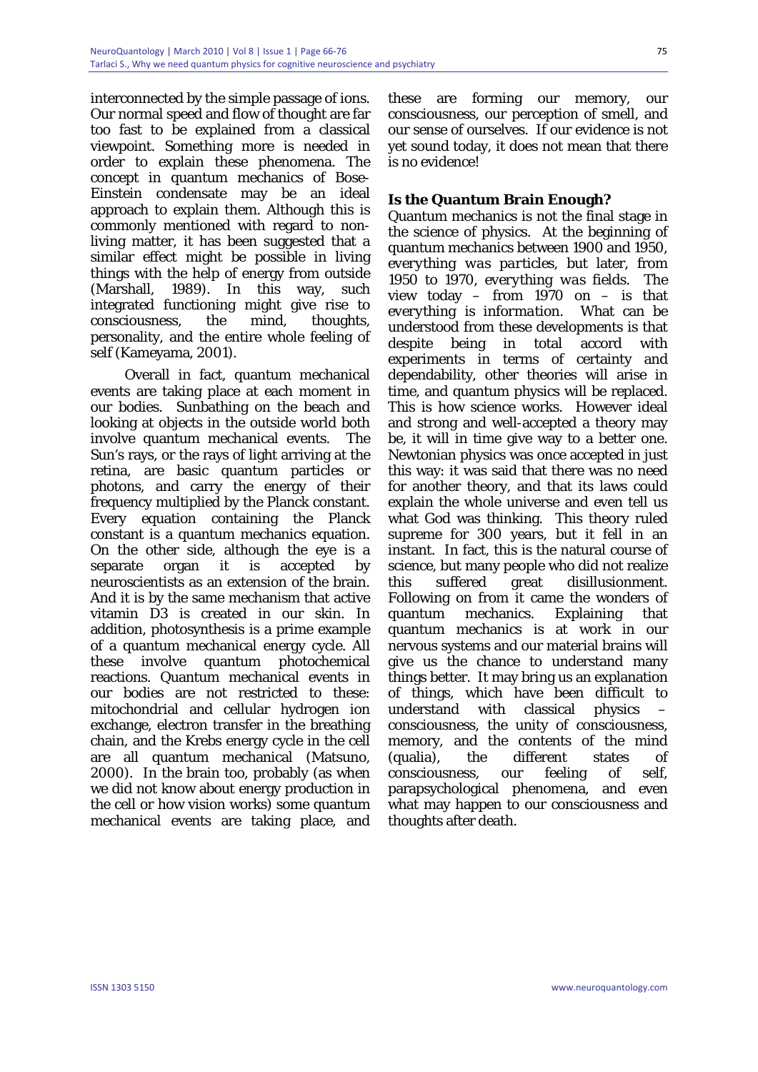interconnected by the simple passage of ions. Our normal speed and flow of thought are far too fast to be explained from a classical viewpoint. Something more is needed in order to explain these phenomena. The concept in quantum mechanics of Bose-Einstein condensate may be an ideal approach to explain them. Although this is commonly mentioned with regard to nonliving matter, it has been suggested that a similar effect might be possible in living things with the help of energy from outside (Marshall, 1989). In this way, such integrated functioning might give rise to consciousness, the mind, thoughts, personality, and the entire whole feeling of self (Kameyama, 2001).

Overall in fact, quantum mechanical events are taking place at each moment in our bodies. Sunbathing on the beach and looking at objects in the outside world both involve quantum mechanical events. The Sun's rays, or the rays of light arriving at the retina, are basic quantum particles or photons, and carry the energy of their frequency multiplied by the Planck constant. Every equation containing the Planck constant is a quantum mechanics equation. On the other side, although the eye is a separate organ it is accepted by neuroscientists as an extension of the brain. And it is by the same mechanism that active vitamin D3 is created in our skin. In addition, photosynthesis is a prime example of a quantum mechanical energy cycle. All these involve quantum photochemical reactions. Quantum mechanical events in our bodies are not restricted to these: mitochondrial and cellular hydrogen ion exchange, electron transfer in the breathing chain, and the Krebs energy cycle in the cell are all quantum mechanical (Matsuno, 2000). In the brain too, probably (as when we did not know about energy production in the cell or how vision works) some quantum mechanical events are taking place, and

these are forming our memory, our consciousness, our perception of smell, and our sense of ourselves. If our evidence is not yet sound today, it does not mean that there is no evidence!

# **Is the Quantum Brain Enough?**

Quantum mechanics is not the final stage in the science of physics. At the beginning of quantum mechanics between 1900 and 1950, *everything was particles*, but later, from 1950 to 1970, *everything was fields*. The view today – from 1970 on – is that *everything is information*. What can be understood from these developments is that despite being in total accord with experiments in terms of certainty and dependability, other theories will arise in time, and quantum physics will be replaced. This is how science works. However ideal and strong and well-accepted a theory may be, it will in time give way to a better one. Newtonian physics was once accepted in just this way: it was said that there was no need for another theory, and that its laws could explain the whole universe and even tell us what God was thinking. This theory ruled supreme for 300 years, but it fell in an instant. In fact, this is the natural course of science, but many people who did not realize this suffered great disillusionment. Following on from it came the wonders of quantum mechanics. Explaining that quantum mechanics is at work in our nervous systems and our material brains will give us the chance to understand many things better. It may bring us an explanation of things, which have been difficult to understand with classical physics – consciousness, the unity of consciousness, memory, and the contents of the mind (qualia), the different states of consciousness, our feeling of self, parapsychological phenomena, and even what may happen to our consciousness and thoughts after death.